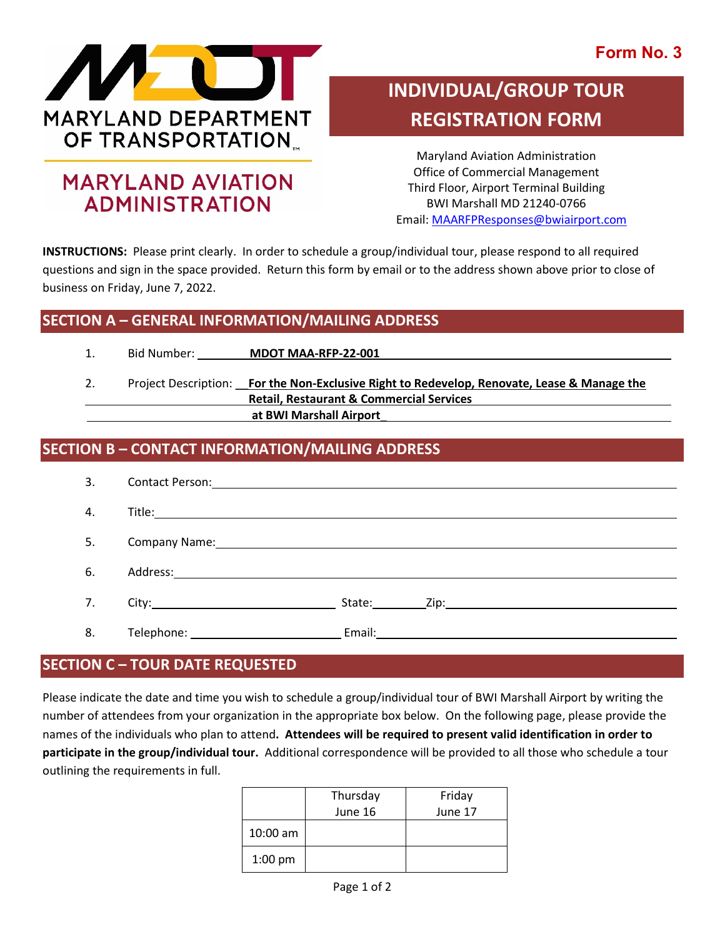### **Form No. 3**



## **MARYLAND AVIATION ADMINISTRATION**

# **INDIVIDUAL/GROUP TOUR REGISTRATION FORM**

Maryland Aviation Administration Office of Commercial Management Third Floor, Airport Terminal Building BWI Marshall MD 21240-0766 Email[: MAARFPResponses@bwiairport.com](mailto:MAARFPResponses@bwiairport.com)

**INSTRUCTIONS:** Please print clearly. In order to schedule a group/individual tour, please respond to all required questions and sign in the space provided. Return this form by email or to the address shown above prior to close of business on Friday, June 7, 2022.

#### **SECTION A – GENERAL INFORMATION/MAILING ADDRESS**

| <b>Bid Number:</b> | <b>MDOT MAA-RFP-22-001</b> |
|--------------------|----------------------------|
|                    |                            |

2. Project Description: \_\_**For the Non-Exclusive Right to Redevelop, Renovate, Lease & Manage the Retail, Restaurant & Commercial Services at BWI Marshall Airport**\_

#### **SECTION B – CONTACT INFORMATION/MAILING ADDRESS**

| 3. |                                                                                                                |                                                                                                                                                                                                                                |
|----|----------------------------------------------------------------------------------------------------------------|--------------------------------------------------------------------------------------------------------------------------------------------------------------------------------------------------------------------------------|
| 4. |                                                                                                                |                                                                                                                                                                                                                                |
| 5. |                                                                                                                |                                                                                                                                                                                                                                |
| 6. |                                                                                                                |                                                                                                                                                                                                                                |
| 7. |                                                                                                                | State: Zip: Zip: 2009 State: 2009 State: 2009 State: 2009 State: 2009 State: 2009 State: 2009 State: 2009 State: 2009 State: 2009 State: 2009 State: 2009 State: 2009 State: 2009 State: 2009 State: 2009 State: 2009 State: 2 |
| 8. | Telephone: The contract of the contract of the contract of the contract of the contract of the contract of the |                                                                                                                                                                                                                                |

#### **SECTION C – TOUR DATE REQUESTED**

Please indicate the date and time you wish to schedule a group/individual tour of BWI Marshall Airport by writing the number of attendees from your organization in the appropriate box below. On the following page, please provide the names of the individuals who plan to attend**. Attendees will be required to present valid identification in order to participate in the group/individual tour.** Additional correspondence will be provided to all those who schedule a tour outlining the requirements in full.

|            | Thursday | Friday  |
|------------|----------|---------|
|            | June 16  | June 17 |
| $10:00$ am |          |         |
| $1:00$ pm  |          |         |